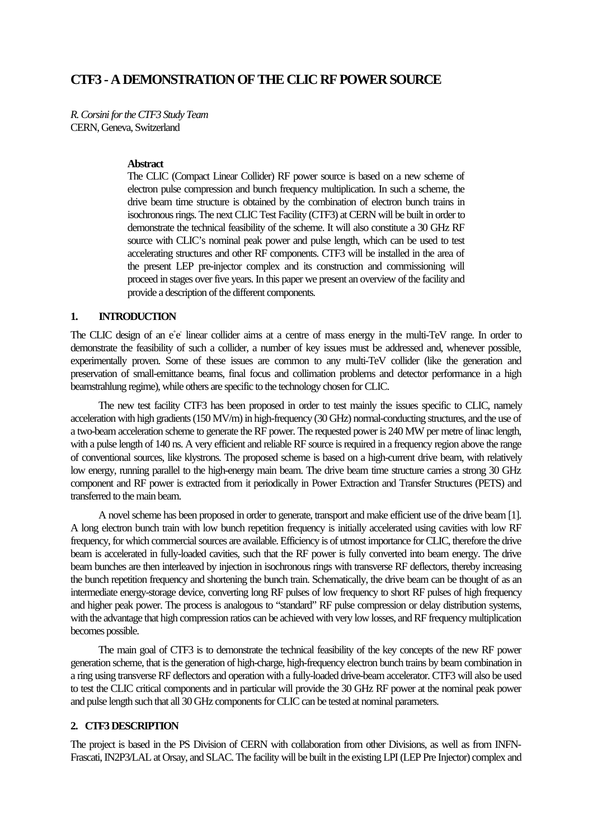# **CTF3 - A DEMONSTRATION OF THE CLIC RF POWER SOURCE**

*R. Corsini for the CTF3 Study Team* CERN, Geneva, Switzerland

#### **Abstract**

The CLIC (Compact Linear Collider) RF power source is based on a new scheme of electron pulse compression and bunch frequency multiplication. In such a scheme, the drive beam time structure is obtained by the combination of electron bunch trains in isochronous rings. The next CLIC Test Facility (CTF3) at CERN will be built in order to demonstrate the technical feasibility of the scheme. It will also constitute a 30 GHz RF source with CLIC's nominal peak power and pulse length, which can be used to test accelerating structures and other RF components. CTF3 will be installed in the area of the present LEP pre-injector complex and its construction and commissioning will proceed in stages over five years. In this paper we present an overview of the facility and provide a description of the different components.

### **1. INTRODUCTION**

The CLIC design of an e<sup>+</sup>e linear collider aims at a centre of mass energy in the multi-TeV range. In order to demonstrate the feasibility of such a collider, a number of key issues must be addressed and, whenever possible, experimentally proven. Some of these issues are common to any multi-TeV collider (like the generation and preservation of small-emittance beams, final focus and collimation problems and detector performance in a high beamstrahlung regime), while others are specific to the technology chosen for CLIC.

The new test facility CTF3 has been proposed in order to test mainly the issues specific to CLIC, namely acceleration with high gradients (150 MV/m) in high-frequency (30 GHz) normal-conducting structures, and the use of a two-beam acceleration scheme to generate the RF power. The requested power is 240 MW per metre of linac length, with a pulse length of 140 ns. A very efficient and reliable RF source is required in a frequency region above the range of conventional sources, like klystrons. The proposed scheme is based on a high-current drive beam, with relatively low energy, running parallel to the high-energy main beam. The drive beam time structure carries a strong 30 GHz component and RF power is extracted from it periodically in Power Extraction and Transfer Structures (PETS) and transferred to the main beam.

A novel scheme has been proposed in order to generate, transport and make efficient use of the drive beam [1]. A long electron bunch train with low bunch repetition frequency is initially accelerated using cavities with low RF frequency, for which commercial sources are available. Efficiency is of utmost importance for CLIC, therefore the drive beam is accelerated in fully-loaded cavities, such that the RF power is fully converted into beam energy. The drive beam bunches are then interleaved by injection in isochronous rings with transverse RF deflectors, thereby increasing the bunch repetition frequency and shortening the bunch train. Schematically, the drive beam can be thought of as an intermediate energy-storage device, converting long RF pulses of low frequency to short RF pulses of high frequency and higher peak power. The process is analogous to "standard" RF pulse compression or delay distribution systems, with the advantage that high compression ratios can be achieved with very low losses, and RF frequency multiplication becomes possible.

The main goal of CTF3 is to demonstrate the technical feasibility of the key concepts of the new RF power generation scheme, that is the generation of high-charge, high-frequency electron bunch trains by beam combination in a ring using transverse RF deflectors and operation with a fully-loaded drive-beam accelerator. CTF3 will also be used to test the CLIC critical components and in particular will provide the 30 GHz RF power at the nominal peak power and pulse length such that all 30 GHz components for CLIC can be tested at nominal parameters.

## **2. CTF3 DESCRIPTION**

The project is based in the PS Division of CERN with collaboration from other Divisions, as well as from INFN-Frascati, IN2P3/LAL at Orsay, and SLAC. The facility will be built in the existing LPI (LEP Pre Injector) complex and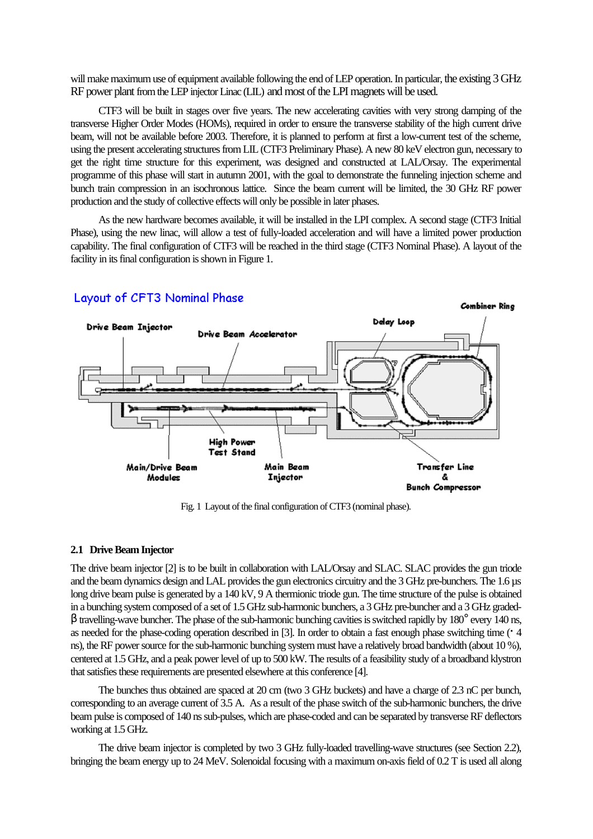will make maximum use of equipment available following the end of LEP operation. In particular, the existing 3 GHz RF power plant from the LEP injector Linac (LIL) and most of the LPI magnets will be used.

CTF3 will be built in stages over five years. The new accelerating cavities with very strong damping of the transverse Higher Order Modes (HOMs), required in order to ensure the transverse stability of the high current drive beam, will not be available before 2003. Therefore, it is planned to perform at first a low-current test of the scheme, using the present accelerating structures from LIL (CTF3 Preliminary Phase). A new 80 keV electron gun, necessary to get the right time structure for this experiment, was designed and constructed at LAL/Orsay. The experimental programme of this phase will start in autumn 2001, with the goal to demonstrate the funneling injection scheme and bunch train compression in an isochronous lattice. Since the beam current will be limited, the 30 GHz RF power production and the study of collective effects will only be possible in later phases.

As the new hardware becomes available, it will be installed in the LPI complex. A second stage (CTF3 Initial Phase), using the new linac, will allow a test of fully-loaded acceleration and will have a limited power production capability. The final configuration of CTF3 will be reached in the third stage (CTF3 Nominal Phase). A layout of the facility in its final configuration is shown in Figure 1.



### Layout of CFT3 Nominal Phase

Fig. 1 Layout of the final configuration of CTF3 (nominal phase).

#### **2.1 Drive Beam Injector**

The drive beam injector [2] is to be built in collaboration with LAL/Orsay and SLAC. SLAC provides the gun triode and the beam dynamics design and LAL provides the gun electronics circuitry and the 3 GHz pre-bunchers. The 1.6 µs long drive beam pulse is generated by a 140 kV, 9 A thermionic triode gun. The time structure of the pulse is obtained in a bunching system composed of a set of 1.5 GHz sub-harmonic bunchers, a 3 GHz pre-buncher and a 3 GHz graded $β$  travelling-wave buncher. The phase of the sub-harmonic bunching cavities is switched rapidly by 180 $^{\circ}$  every 140 ns, as needed for the phase-coding operation described in [3]. In order to obtain a fast enough phase switching time († 4 ns), the RF power source for the sub-harmonic bunching system must have a relatively broad bandwidth (about 10 %), centered at 1.5 GHz, and a peak power level of up to 500 kW. The results of a feasibility study of a broadband klystron that satisfies these requirements are presented elsewhere at this conference [4].

The bunches thus obtained are spaced at 20 cm (two 3 GHz buckets) and have a charge of 2.3 nC per bunch, corresponding to an average current of 3.5 A. As a result of the phase switch of the sub-harmonic bunchers, the drive beam pulse is composed of 140 ns sub-pulses, which are phase-coded and can be separated by transverse RF deflectors working at 1.5 GHz.

The drive beam injector is completed by two 3 GHz fully-loaded travelling-wave structures (see Section 2.2), bringing the beam energy up to 24 MeV. Solenoidal focusing with a maximum on-axis field of 0.2 T is used all along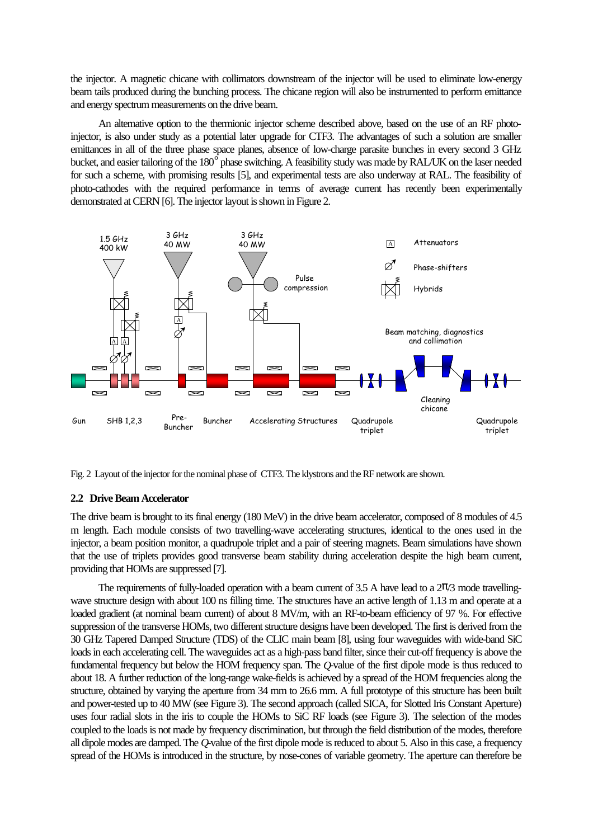the injector. A magnetic chicane with collimators downstream of the injector will be used to eliminate low-energy beam tails produced during the bunching process. The chicane region will also be instrumented to perform emittance and energy spectrum measurements on the drive beam.

An alternative option to the thermionic injector scheme described above, based on the use of an RF photoinjector, is also under study as a potential later upgrade for CTF3. The advantages of such a solution are smaller emittances in all of the three phase space planes, absence of low-charge parasite bunches in every second 3 GHz bucket, and easier tailoring of the 180° phase switching. A feasibility study was made by RAL/UK on the laser needed for such a scheme, with promising results [5], and experimental tests are also underway at RAL. The feasibility of photo-cathodes with the required performance in terms of average current has recently been experimentally demonstrated at CERN [6]. The injector layout is shown in Figure 2.



Fig. 2 Layout of the injector for the nominal phase of CTF3. The klystrons and the RF network are shown.

#### **2.2 Drive Beam Accelerator**

The drive beam is brought to its final energy (180 MeV) in the drive beam accelerator, composed of 8 modules of 4.5 m length. Each module consists of two travelling-wave accelerating structures, identical to the ones used in the injector, a beam position monitor, a quadrupole triplet and a pair of steering magnets. Beam simulations have shown that the use of triplets provides good transverse beam stability during acceleration despite the high beam current, providing that HOMs are suppressed [7].

The requirements of fully-loaded operation with a beam current of 3.5 A have lead to a  $2\pi/3$  mode travellingwave structure design with about 100 ns filling time. The structures have an active length of 1.13 m and operate at a loaded gradient (at nominal beam current) of about 8 MV/m, with an RF-to-beam efficiency of 97 %. For effective suppression of the transverse HOMs, two different structure designs have been developed. The first is derived from the 30 GHz Tapered Damped Structure (TDS) of the CLIC main beam [8], using four waveguides with wide-band SiC loads in each accelerating cell. The waveguides act as a high-pass band filter, since their cut-off frequency is above the fundamental frequency but below the HOM frequency span. The *Q*-value of the first dipole mode is thus reduced to about 18. A further reduction of the long-range wake-fields is achieved by a spread of the HOM frequencies along the structure, obtained by varying the aperture from 34 mm to 26.6 mm. A full prototype of this structure has been built and power-tested up to 40 MW (see Figure 3). The second approach (called SICA, for Slotted Iris Constant Aperture) uses four radial slots in the iris to couple the HOMs to SiC RF loads (see Figure 3). The selection of the modes coupled to the loads is not made by frequency discrimination, but through the field distribution of the modes, therefore all dipole modes are damped. The *Q*-value of the first dipole mode is reduced to about 5. Also in this case, a frequency spread of the HOMs is introduced in the structure, by nose-cones of variable geometry. The aperture can therefore be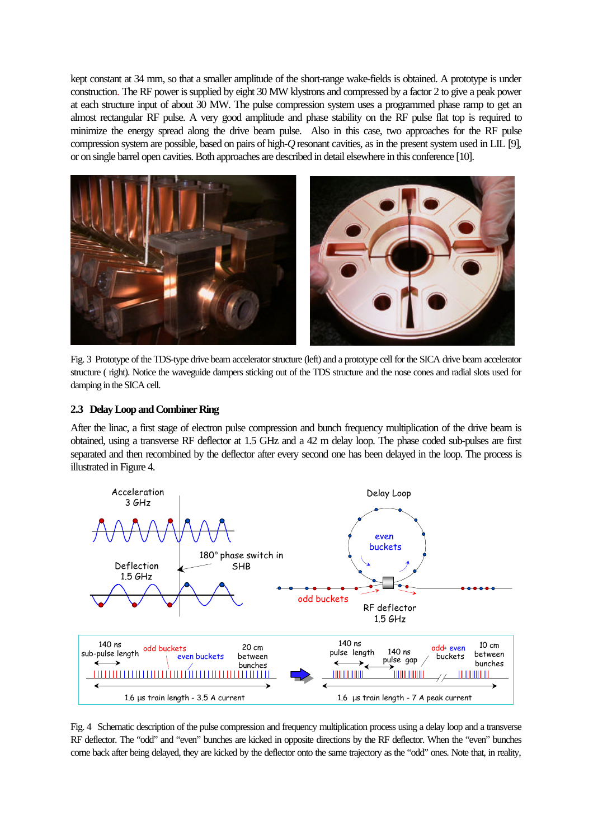kept constant at 34 mm, so that a smaller amplitude of the short-range wake-fields is obtained. A prototype is under construction. The RF power is supplied by eight 30 MW klystrons and compressed by a factor 2 to give a peak power at each structure input of about 30 MW. The pulse compression system uses a programmed phase ramp to get an almost rectangular RF pulse. A very good amplitude and phase stability on the RF pulse flat top is required to minimize the energy spread along the drive beam pulse. Also in this case, two approaches for the RF pulse compression system are possible, based on pairs of high-*Q* resonant cavities, as in the present system used in LIL [9], or on single barrel open cavities. Both approaches are described in detail elsewhere in this conference [10].



Fig. 3 Prototype of the TDS-type drive beam accelerator structure (left) and a prototype cell for the SICA drive beam accelerator structure ( right). Notice the waveguide dampers sticking out of the TDS structure and the nose cones and radial slots used for damping in the SICA cell.

### **2.3 Delay Loop and Combiner Ring**

After the linac, a first stage of electron pulse compression and bunch frequency multiplication of the drive beam is obtained, using a transverse RF deflector at 1.5 GHz and a 42 m delay loop. The phase coded sub-pulses are first separated and then recombined by the deflector after every second one has been delayed in the loop. The process is illustrated in Figure 4.



Fig. 4 Schematic description of the pulse compression and frequency multiplication process using a delay loop and a transverse RF deflector. The "odd" and "even" bunches are kicked in opposite directions by the RF deflector. When the "even" bunches come back after being delayed, they are kicked by the deflector onto the same trajectory as the "odd" ones. Note that, in reality,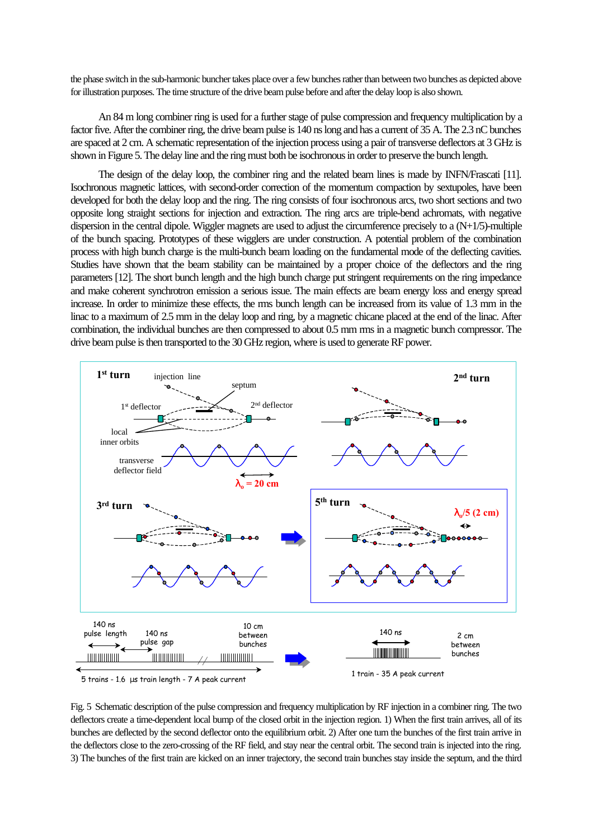the phase switch in the sub-harmonic buncher takes place over a few bunches rather than between two bunches as depicted above for illustration purposes. The time structure of the drive beam pulse before and after the delay loop is also shown.

An 84 m long combiner ring is used for a further stage of pulse compression and frequency multiplication by a factor five. After the combiner ring, the drive beam pulse is 140 ns long and has a current of 35 A. The 2.3 nC bunches are spaced at 2 cm. A schematic representation of the injection process using a pair of transverse deflectors at 3 GHz is shown in Figure 5. The delay line and the ring must both be isochronous in order to preserve the bunch length.

The design of the delay loop, the combiner ring and the related beam lines is made by INFN/Frascati [11]. Isochronous magnetic lattices, with second-order correction of the momentum compaction by sextupoles, have been developed for both the delay loop and the ring. The ring consists of four isochronous arcs, two short sections and two opposite long straight sections for injection and extraction. The ring arcs are triple-bend achromats, with negative dispersion in the central dipole. Wiggler magnets are used to adjust the circumference precisely to a (N+1/5)-multiple of the bunch spacing. Prototypes of these wigglers are under construction. A potential problem of the combination process with high bunch charge is the multi-bunch beam loading on the fundamental mode of the deflecting cavities. Studies have shown that the beam stability can be maintained by a proper choice of the deflectors and the ring parameters [12]. The short bunch length and the high bunch charge put stringent requirements on the ring impedance and make coherent synchrotron emission a serious issue. The main effects are beam energy loss and energy spread increase. In order to minimize these effects, the rms bunch length can be increased from its value of 1.3 mm in the linac to a maximum of 2.5 mm in the delay loop and ring, by a magnetic chicane placed at the end of the linac. After combination, the individual bunches are then compressed to about 0.5 mm rms in a magnetic bunch compressor. The drive beam pulse is then transported to the 30 GHz region, where is used to generate RF power.



5 trains - 1.6 μs train length - 7 A peak current

Fig. 5 Schematic description of the pulse compression and frequency multiplication by RF injection in a combiner ring. The two deflectors create a time-dependent local bump of the closed orbit in the injection region. 1) When the first train arrives, all of its bunches are deflected by the second deflector onto the equilibrium orbit. 2) After one turn the bunches of the first train arrive in the deflectors close to the zero-crossing of the RF field, and stay near the central orbit. The second train is injected into the ring. 3) The bunches of the first train are kicked on an inner trajectory, the second train bunches stay inside the septum, and the third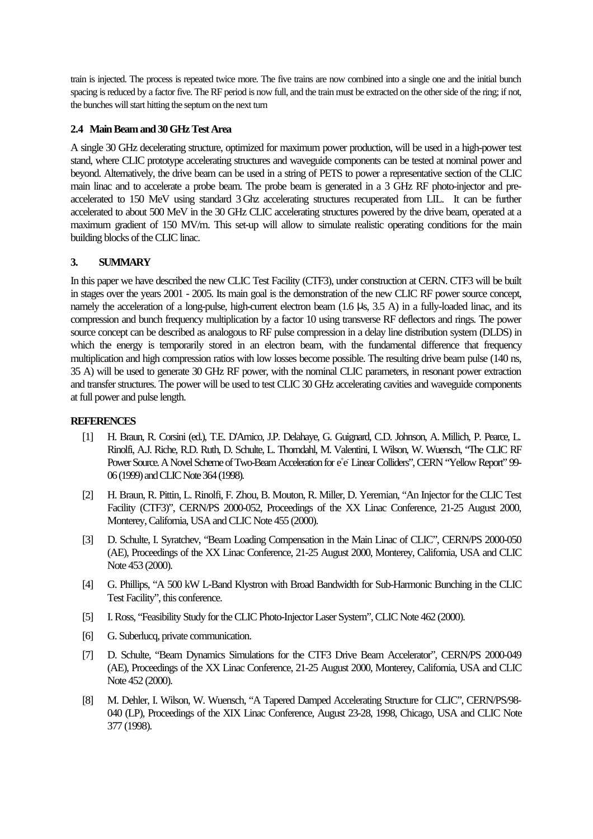train is injected. The process is repeated twice more. The five trains are now combined into a single one and the initial bunch spacing is reduced by a factor five. The RF period is now full, and the train must be extracted on the other side of the ring; if not, the bunches will start hitting the septum on the next turn

## **2.4 Main Beam and 30 GHz Test Area**

A single 30 GHz decelerating structure, optimized for maximum power production, will be used in a high-power test stand, where CLIC prototype accelerating structures and waveguide components can be tested at nominal power and beyond. Alternatively, the drive beam can be used in a string of PETS to power a representative section of the CLIC main linac and to accelerate a probe beam. The probe beam is generated in a 3 GHz RF photo-injector and preaccelerated to 150 MeV using standard 3 Ghz accelerating structures recuperated from LIL. It can be further accelerated to about 500 MeV in the 30 GHz CLIC accelerating structures powered by the drive beam, operated at a maximum gradient of 150 MV/m. This set-up will allow to simulate realistic operating conditions for the main building blocks of the CLIC linac.

## **3. SUMMARY**

In this paper we have described the new CLIC Test Facility (CTF3), under construction at CERN. CTF3 will be built in stages over the years 2001 - 2005. Its main goal is the demonstration of the new CLIC RF power source concept, namely the acceleration of a long-pulse, high-current electron beam (1.6 μs, 3.5 A) in a fully-loaded linac, and its compression and bunch frequency multiplication by a factor 10 using transverse RF deflectors and rings. The power source concept can be described as analogous to RF pulse compression in a delay line distribution system (DLDS) in which the energy is temporarily stored in an electron beam, with the fundamental difference that frequency multiplication and high compression ratios with low losses become possible. The resulting drive beam pulse (140 ns, 35 A) will be used to generate 30 GHz RF power, with the nominal CLIC parameters, in resonant power extraction and transfer structures. The power will be used to test CLIC 30 GHz accelerating cavities and waveguide components at full power and pulse length.

## **REFERENCES**

- [1] H. Braun, R. Corsini (ed.), T.E. D'Amico, J.P. Delahaye, G. Guignard, C.D. Johnson, A. Millich, P. Pearce, L. Rinolfi, A.J. Riche, R.D. Ruth, D. Schulte, L. Thorndahl, M. Valentini, I. Wilson, W. Wuensch, "The CLIC RF Power Source. A Novel Scheme of Two-Beam Acceleration for e<sup>+</sup>e Linear Colliders", CERN "Yellow Report" 99-06 (1999) and CLIC Note 364 (1998).
- [2] H. Braun, R. Pittin, L. Rinolfi, F. Zhou, B. Mouton, R. Miller, D. Yeremian, "An Injector for the CLIC Test Facility (CTF3)", CERN/PS 2000-052, Proceedings of the XX Linac Conference, 21-25 August 2000, Monterey, California, USA and CLIC Note 455 (2000).
- [3] D. Schulte, I. Syratchev, "Beam Loading Compensation in the Main Linac of CLIC", CERN/PS 2000-050 (AE), Proceedings of the XX Linac Conference, 21-25 August 2000, Monterey, California, USA and CLIC Note 453 (2000).
- [4] G. Phillips, "A 500 kW L-Band Klystron with Broad Bandwidth for Sub-Harmonic Bunching in the CLIC Test Facility", this conference.
- [5] I. Ross, "Feasibility Study for the CLIC Photo-Injector Laser System", CLIC Note 462 (2000).
- [6] G. Suberlucq, private communication.
- [7] D. Schulte, "Beam Dynamics Simulations for the CTF3 Drive Beam Accelerator", CERN/PS 2000-049 (AE), Proceedings of the XX Linac Conference, 21-25 August 2000, Monterey, California, USA and CLIC Note 452 (2000).
- [8] M. Dehler, I. Wilson, W. Wuensch, "A Tapered Damped Accelerating Structure for CLIC", CERN/PS/98- 040 (LP), Proceedings of the XIX Linac Conference, August 23-28, 1998, Chicago, USA and CLIC Note 377 (1998).